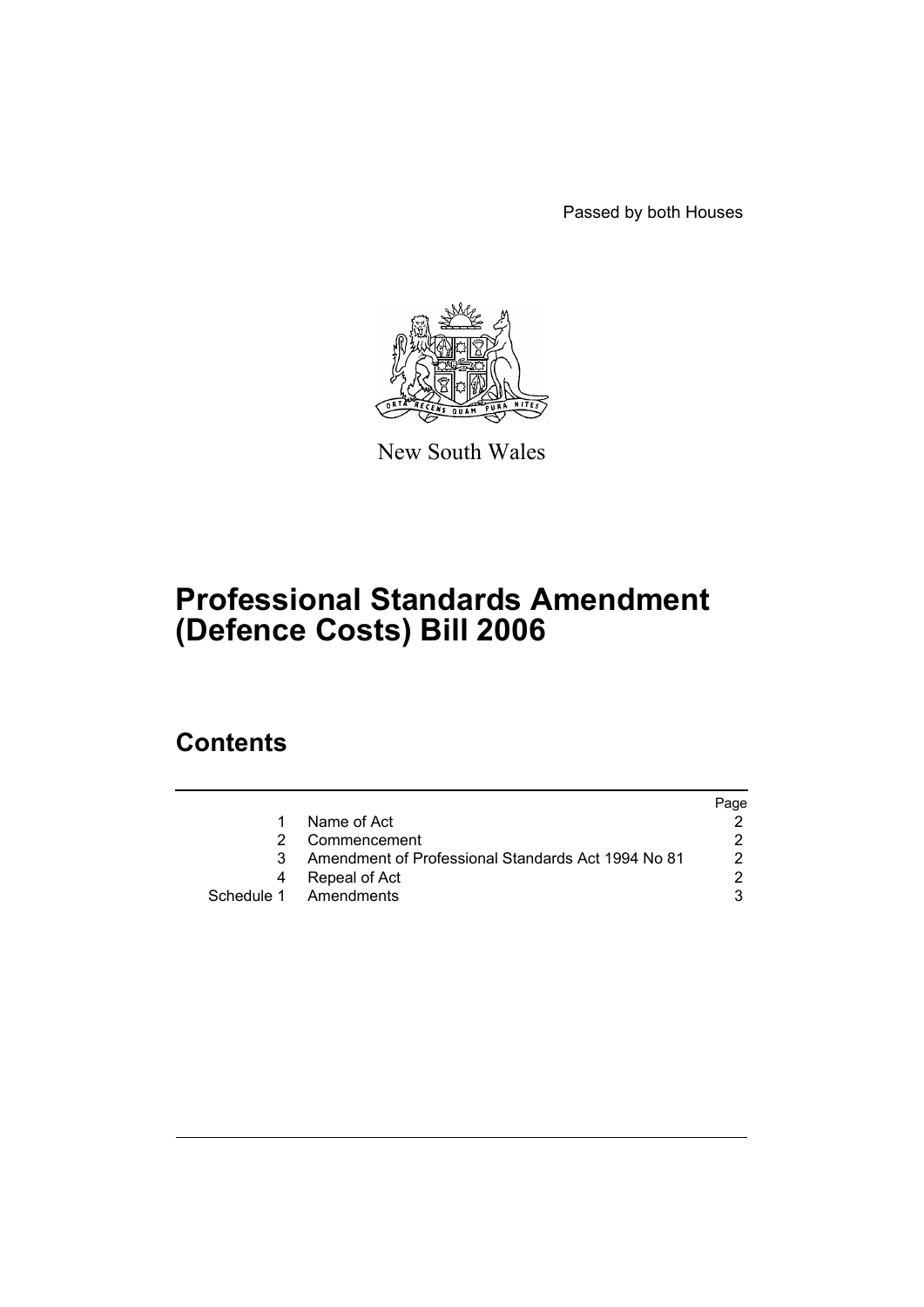Passed by both Houses



New South Wales

# **Professional Standards Amendment (Defence Costs) Bill 2006**

# **Contents**

|   |                                                    | Page |
|---|----------------------------------------------------|------|
|   | Name of Act                                        |      |
|   | Commencement                                       |      |
|   | Amendment of Professional Standards Act 1994 No 81 | 2    |
| 4 | Repeal of Act                                      | ⌒    |
|   | Schedule 1 Amendments                              |      |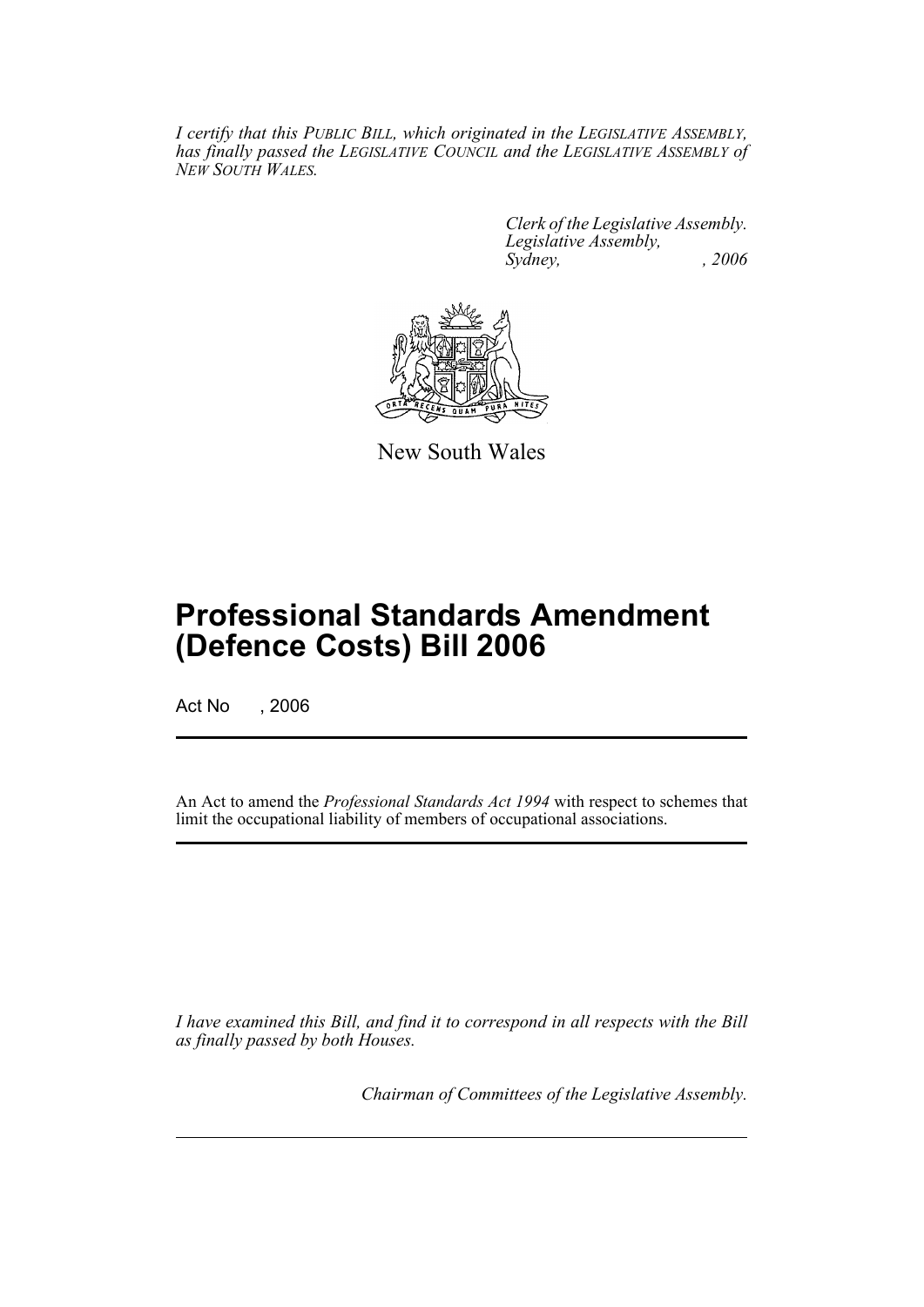*I certify that this PUBLIC BILL, which originated in the LEGISLATIVE ASSEMBLY, has finally passed the LEGISLATIVE COUNCIL and the LEGISLATIVE ASSEMBLY of NEW SOUTH WALES.*

> *Clerk of the Legislative Assembly. Legislative Assembly, Sydney, , 2006*



New South Wales

# **Professional Standards Amendment (Defence Costs) Bill 2006**

Act No , 2006

An Act to amend the *Professional Standards Act 1994* with respect to schemes that limit the occupational liability of members of occupational associations.

*I have examined this Bill, and find it to correspond in all respects with the Bill as finally passed by both Houses.*

*Chairman of Committees of the Legislative Assembly.*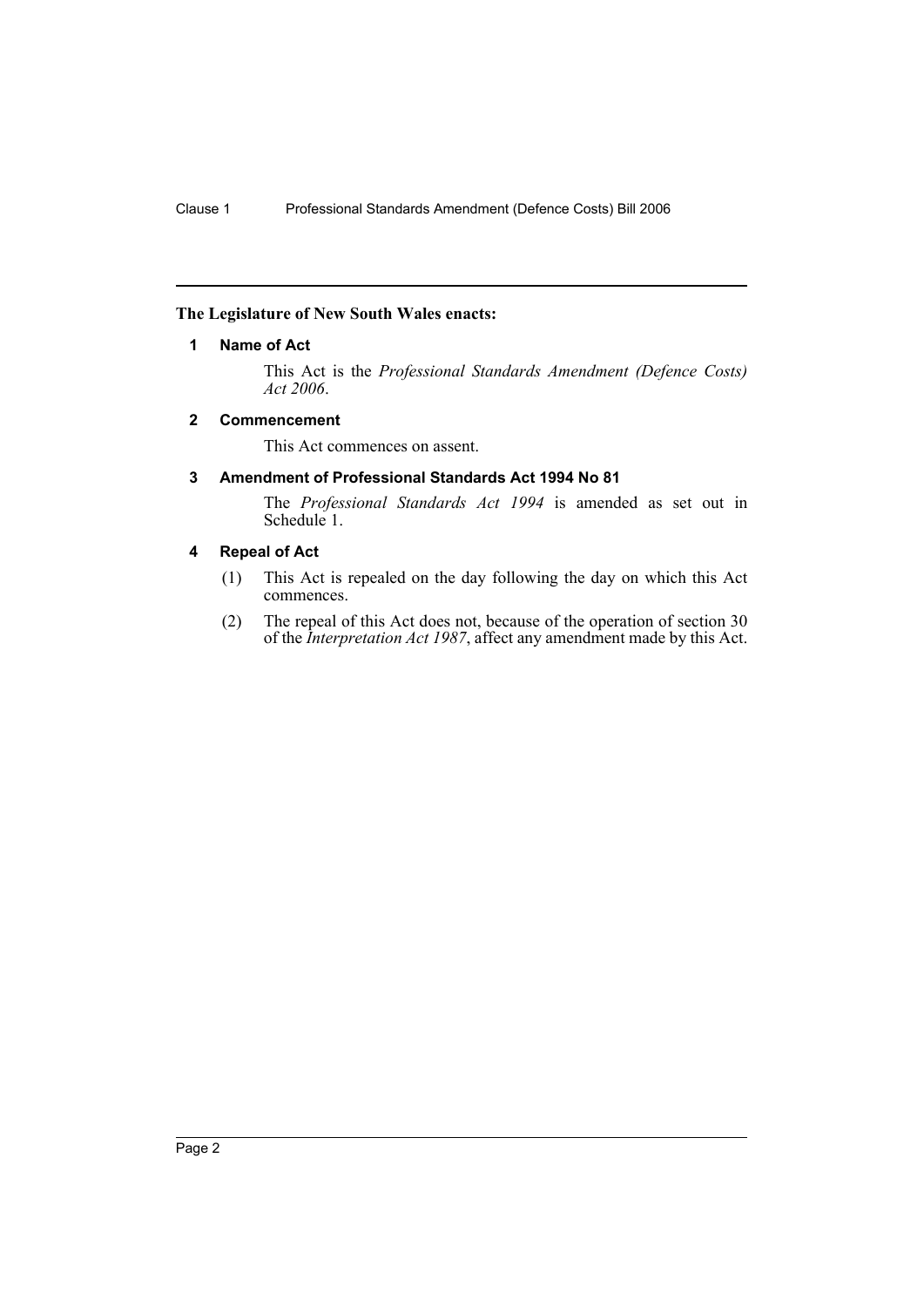# **The Legislature of New South Wales enacts:**

# **1 Name of Act**

This Act is the *Professional Standards Amendment (Defence Costs) Act 2006*.

# **2 Commencement**

This Act commences on assent.

# **3 Amendment of Professional Standards Act 1994 No 81**

The *Professional Standards Act 1994* is amended as set out in Schedule 1.

# **4 Repeal of Act**

- (1) This Act is repealed on the day following the day on which this Act commences.
- (2) The repeal of this Act does not, because of the operation of section 30 of the *Interpretation Act 1987*, affect any amendment made by this Act.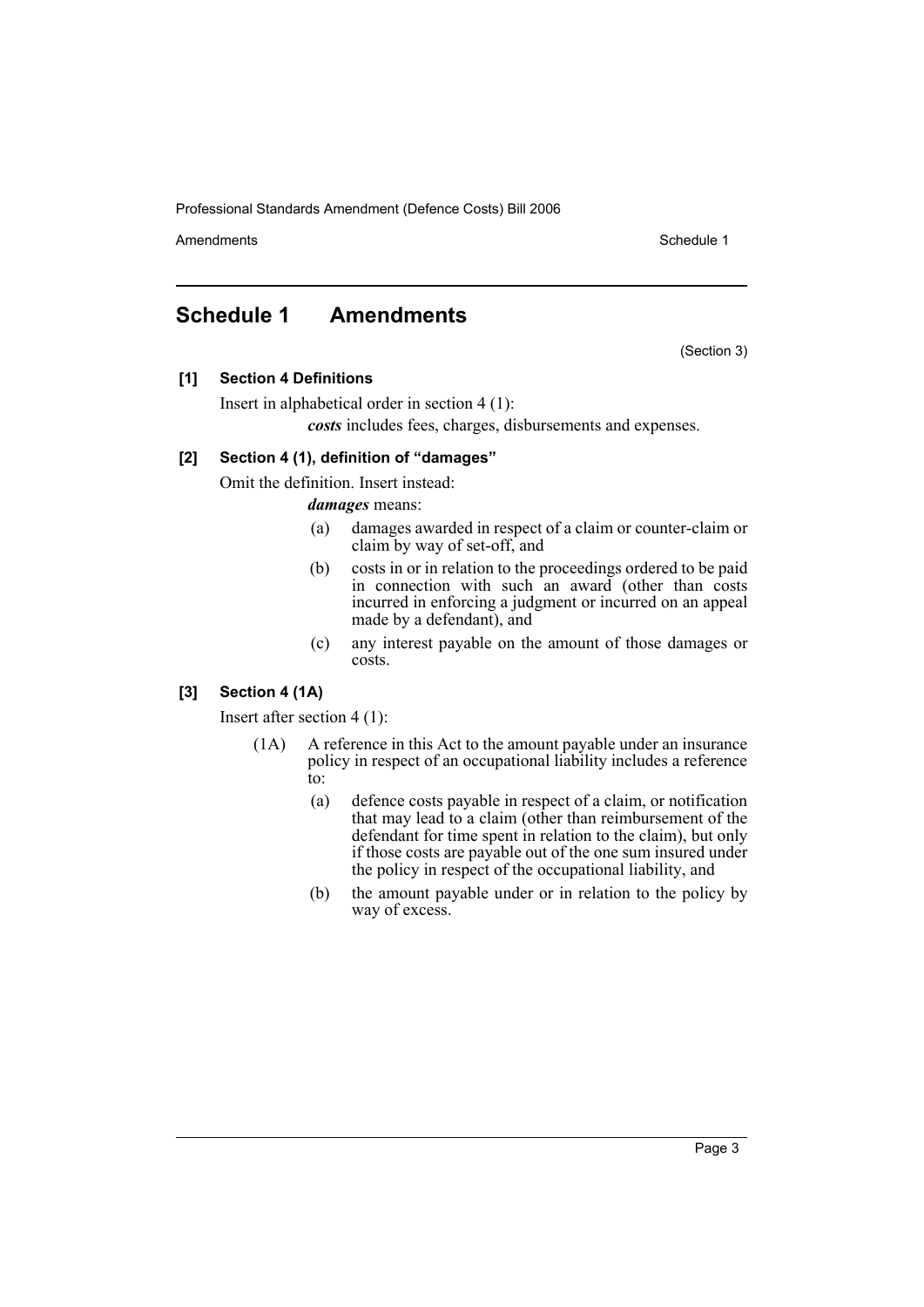Amendments **Schedule 1** and the set of the set of the set of the set of the set of the set of the set of the set of the set of the set of the set of the set of the set of the set of the set of the set of the set of the set

(Section 3)

# **Schedule 1 Amendments**

**[1] Section 4 Definitions**

Insert in alphabetical order in section 4 (1):

*costs* includes fees, charges, disbursements and expenses.

# **[2] Section 4 (1), definition of "damages"**

Omit the definition. Insert instead:

*damages* means:

- (a) damages awarded in respect of a claim or counter-claim or claim by way of set-off, and
- (b) costs in or in relation to the proceedings ordered to be paid in connection with such an award (other than costs incurred in enforcing a judgment or incurred on an appeal made by a defendant), and
- (c) any interest payable on the amount of those damages or costs.

# **[3] Section 4 (1A)**

Insert after section 4 (1):

- (1A) A reference in this Act to the amount payable under an insurance policy in respect of an occupational liability includes a reference to:
	- (a) defence costs payable in respect of a claim, or notification that may lead to a claim (other than reimbursement of the defendant for time spent in relation to the claim), but only if those costs are payable out of the one sum insured under the policy in respect of the occupational liability, and
	- (b) the amount payable under or in relation to the policy by way of excess.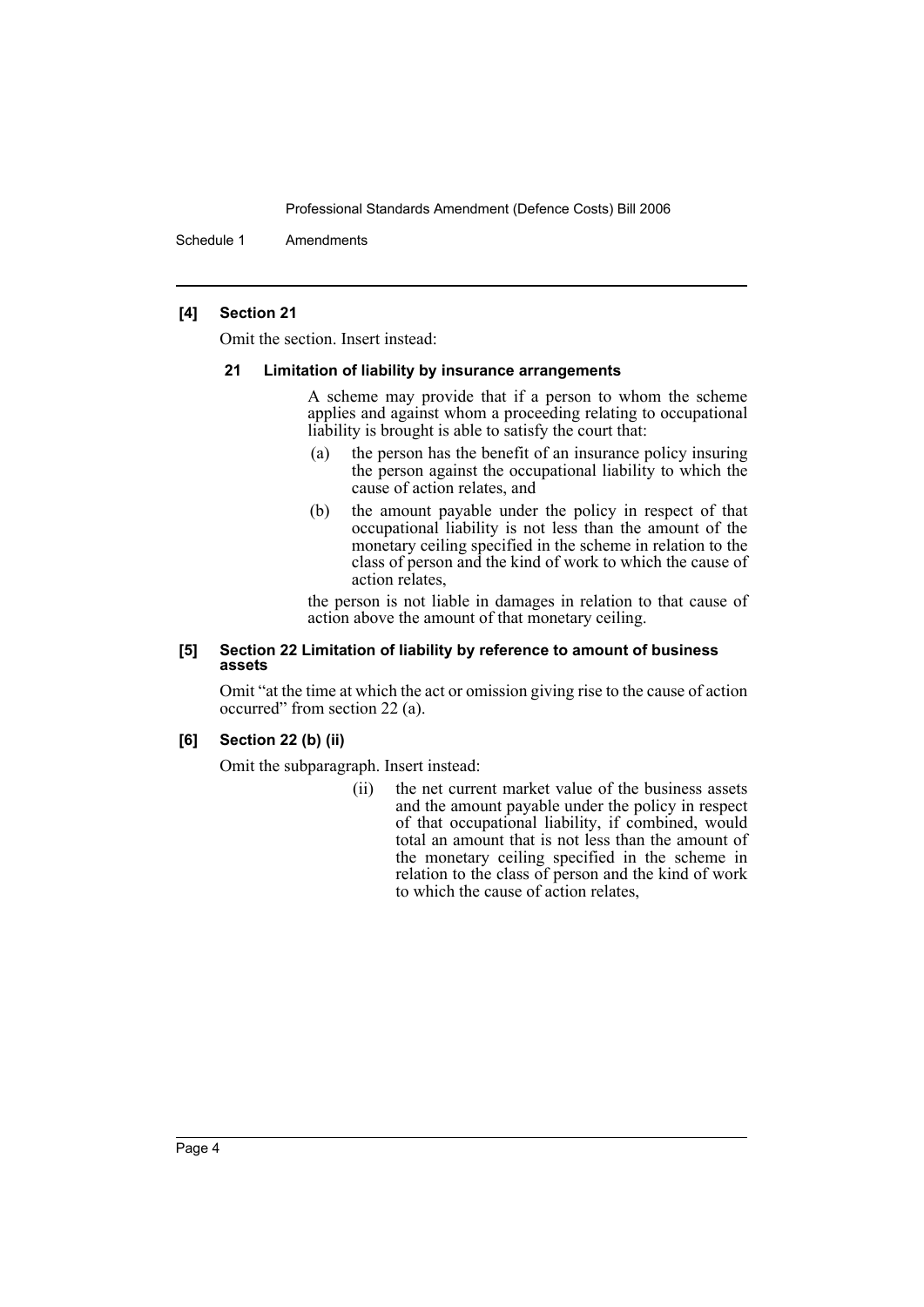Schedule 1 Amendments

### **[4] Section 21**

Omit the section. Insert instead:

#### **21 Limitation of liability by insurance arrangements**

A scheme may provide that if a person to whom the scheme applies and against whom a proceeding relating to occupational liability is brought is able to satisfy the court that:

- (a) the person has the benefit of an insurance policy insuring the person against the occupational liability to which the cause of action relates, and
- (b) the amount payable under the policy in respect of that occupational liability is not less than the amount of the monetary ceiling specified in the scheme in relation to the class of person and the kind of work to which the cause of action relates,

the person is not liable in damages in relation to that cause of action above the amount of that monetary ceiling.

#### **[5] Section 22 Limitation of liability by reference to amount of business assets**

Omit "at the time at which the act or omission giving rise to the cause of action occurred" from section 22 (a).

### **[6] Section 22 (b) (ii)**

Omit the subparagraph. Insert instead:

(ii) the net current market value of the business assets and the amount payable under the policy in respect of that occupational liability, if combined, would total an amount that is not less than the amount of the monetary ceiling specified in the scheme in relation to the class of person and the kind of work to which the cause of action relates,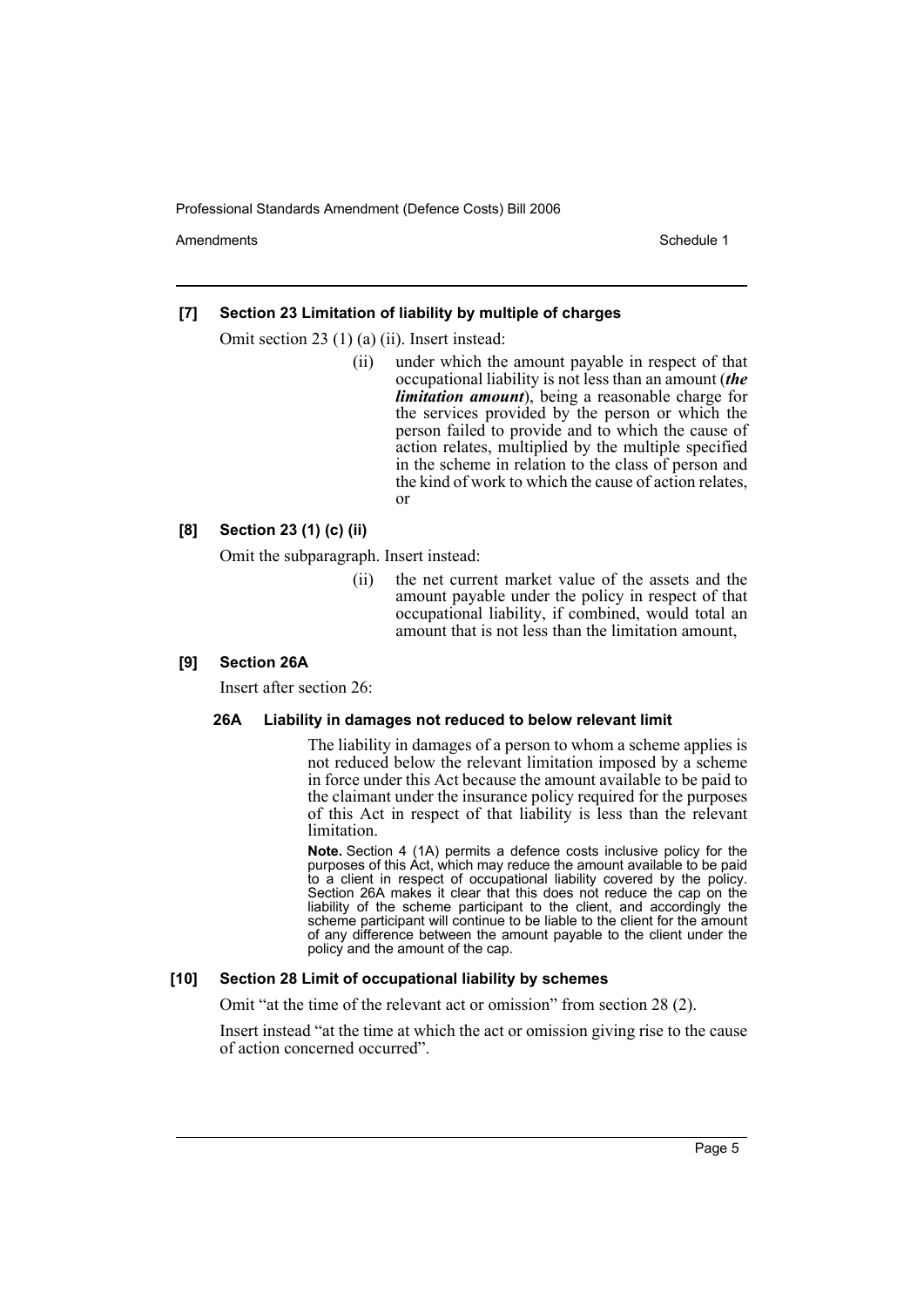Amendments **Amendments** Schedule 1

# **[7] Section 23 Limitation of liability by multiple of charges**

Omit section 23 (1) (a) (ii). Insert instead:

(ii) under which the amount payable in respect of that occupational liability is not less than an amount (*the limitation amount*), being a reasonable charge for the services provided by the person or which the person failed to provide and to which the cause of action relates, multiplied by the multiple specified in the scheme in relation to the class of person and the kind of work to which the cause of action relates, or

## **[8] Section 23 (1) (c) (ii)**

Omit the subparagraph. Insert instead:

(ii) the net current market value of the assets and the amount payable under the policy in respect of that occupational liability, if combined, would total an amount that is not less than the limitation amount,

#### **[9] Section 26A**

Insert after section 26:

#### **26A Liability in damages not reduced to below relevant limit**

The liability in damages of a person to whom a scheme applies is not reduced below the relevant limitation imposed by a scheme in force under this Act because the amount available to be paid to the claimant under the insurance policy required for the purposes of this Act in respect of that liability is less than the relevant limitation.

**Note.** Section 4 (1A) permits a defence costs inclusive policy for the purposes of this Act, which may reduce the amount available to be paid to a client in respect of occupational liability covered by the policy. Section 26A makes it clear that this does not reduce the cap on the liability of the scheme participant to the client, and accordingly the scheme participant will continue to be liable to the client for the amount of any difference between the amount payable to the client under the policy and the amount of the cap.

#### **[10] Section 28 Limit of occupational liability by schemes**

Omit "at the time of the relevant act or omission" from section 28 (2).

Insert instead "at the time at which the act or omission giving rise to the cause of action concerned occurred".